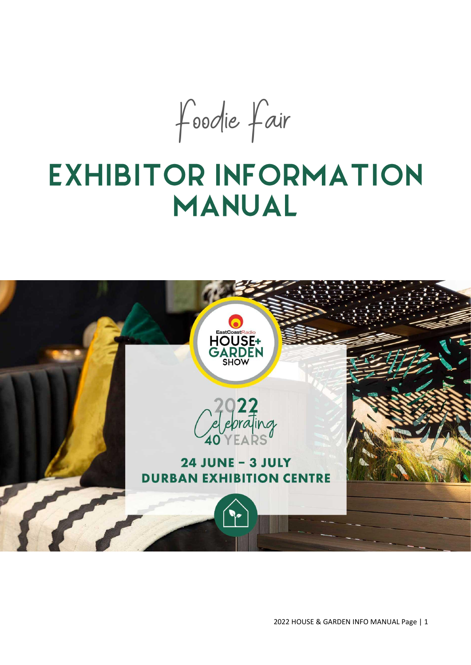Foodie Fair

# **EXHIBITOR INFORMATION MANUAL**



2022 HOUSE & GARDEN INFO MANUAL Page | 1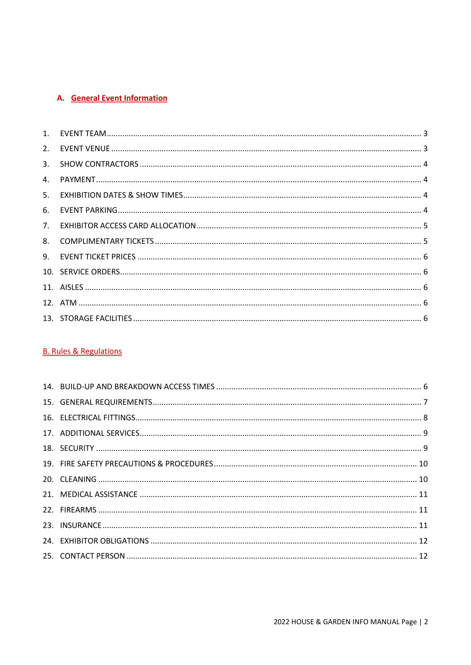# A. General Event Information

| 4. |  |
|----|--|
| 5. |  |
| 6. |  |
| 7. |  |
| 8. |  |
|    |  |
|    |  |
|    |  |
|    |  |
|    |  |
|    |  |

## **B. Rules & Regulations**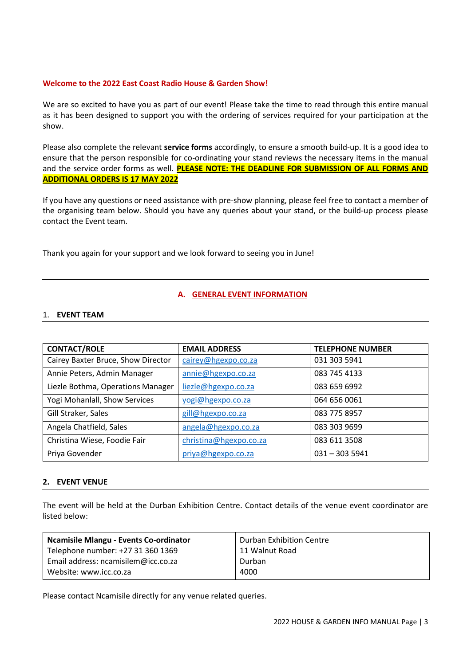## **Welcome to the 2022 East Coast Radio House & Garden Show!**

We are so excited to have you as part of our event! Please take the time to read through this entire manual as it has been designed to support you with the ordering of services required for your participation at the show.

Please also complete the relevant **service forms** accordingly, to ensure a smooth build-up. It is a good idea to ensure that the person responsible for co-ordinating your stand reviews the necessary items in the manual and the service order forms as well. **PLEASE NOTE: THE DEADLINE FOR SUBMISSION OF ALL FORMS AND ADDITIONAL ORDERS IS 17 MAY 2022**

If you have any questions or need assistance with pre-show planning, please feel free to contact a member of the organising team below. Should you have any queries about your stand, or the build-up process please contact the Event team.

Thank you again for your support and we look forward to seeing you in June!

#### **A. GENERAL EVENT INFORMATION**

#### <span id="page-2-0"></span>1. **EVENT TEAM**

| <b>CONTACT/ROLE</b>                | <b>EMAIL ADDRESS</b>   | <b>TELEPHONE NUMBER</b> |
|------------------------------------|------------------------|-------------------------|
| Cairey Baxter Bruce, Show Director | cairey@hgexpo.co.za    | 031 303 5941            |
| Annie Peters, Admin Manager        | annie@hgexpo.co.za     | 083 745 4133            |
| Liezle Bothma, Operations Manager  | liezle@hgexpo.co.za    | 083 659 6992            |
| Yogi Mohanlall, Show Services      | yogi@hgexpo.co.za      | 064 656 0061            |
| Gill Straker, Sales                | gill@hgexpo.co.za      | 083 775 8957            |
| Angela Chatfield, Sales            | angela@hgexpo.co.za    | 083 303 9699            |
| Christina Wiese, Foodie Fair       | christina@hgexpo.co.za | 083 611 3508            |
| Priya Govender                     | priya@hgexpo.co.za     | $031 - 3035941$         |

#### <span id="page-2-1"></span>**2. EVENT VENUE**

The event will be held at the Durban Exhibition Centre. Contact details of the venue event coordinator are listed below:

| <b>Ncamisile Mlangu - Events Co-ordinator</b> | Durban Exhibition Centre |
|-----------------------------------------------|--------------------------|
| Telephone number: +27 31 360 1369             | 11 Walnut Road           |
| Email address: ncamisilem@icc.co.za           | Durban                   |
| Website: www.icc.co.za                        | 4000                     |

Please contact Ncamisile directly for any venue related queries.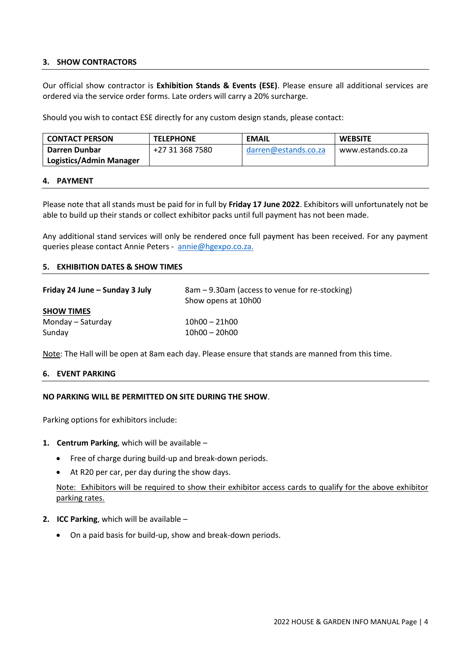### <span id="page-3-0"></span>**3. SHOW CONTRACTORS**

Our official show contractor is **Exhibition Stands & Events (ESE)**. Please ensure all additional services are ordered via the service order forms. Late orders will carry a 20% surcharge.

Should you wish to contact ESE directly for any custom design stands, please contact:

| <b>CONTACT PERSON</b>   | <b>TELEPHONE</b> | <b>EMAIL</b>         | <b>WEBSITE</b>    |  |
|-------------------------|------------------|----------------------|-------------------|--|
| Darren Dunbar           | +27 31 368 7580  | darren@estands.co.za | www.estands.co.za |  |
| Logistics/Admin Manager |                  |                      |                   |  |

#### <span id="page-3-1"></span>**4. PAYMENT**

Please note that all stands must be paid for in full by **Friday 17 June 2022**. Exhibitors will unfortunately not be able to build up their stands or collect exhibitor packs until full payment has not been made.

Any additional stand services will only be rendered once full payment has been received. For any payment queries please contact Annie Peters - [annie@hgexpo.co.za.](mailto:annie@hgexpo.co.za)

### <span id="page-3-2"></span>**5. EXHIBITION DATES & SHOW TIMES**

| Friday 24 June – Sunday 3 July | 8am – 9.30am (access to venue for re-stocking)<br>Show opens at 10h00 |
|--------------------------------|-----------------------------------------------------------------------|
| <b>SHOW TIMES</b>              |                                                                       |
| Monday – Saturday              | $10h00 - 21h00$                                                       |
| Sunday                         | $10h00 - 20h00$                                                       |

<span id="page-3-3"></span>Note: The Hall will be open at 8am each day. Please ensure that stands are manned from this time.

#### **6. EVENT PARKING**

## **NO PARKING WILL BE PERMITTED ON SITE DURING THE SHOW**.

Parking options for exhibitors include:

- **1. Centrum Parking**, which will be available
	- Free of charge during build-up and break-down periods.
	- At R20 per car, per day during the show days.

Note: Exhibitors will be required to show their exhibitor access cards to qualify for the above exhibitor parking rates.

- **2. ICC Parking**, which will be available
	- On a paid basis for build-up, show and break-down periods.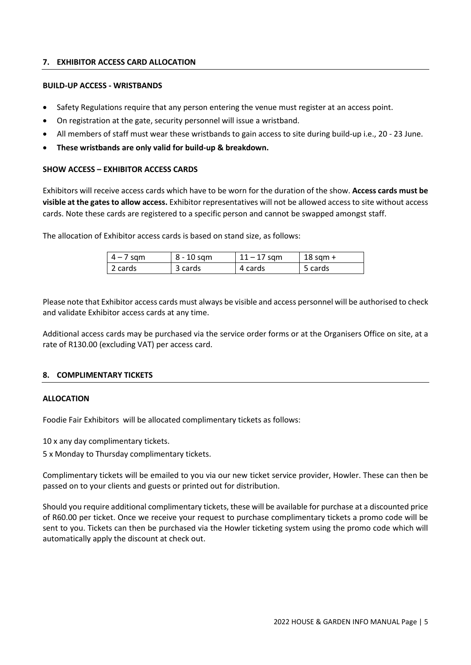## <span id="page-4-0"></span>**7. EXHIBITOR ACCESS CARD ALLOCATION**

## **BUILD-UP ACCESS - WRISTBANDS**

- Safety Regulations require that any person entering the venue must register at an access point.
- On registration at the gate, security personnel will issue a wristband.
- All members of staff must wear these wristbands to gain access to site during build-up i.e., 20 23 June.
- **These wristbands are only valid for build-up & breakdown.**

## **SHOW ACCESS – EXHIBITOR ACCESS CARDS**

Exhibitors will receive access cards which have to be worn for the duration of the show. **Access cards must be visible at the gates to allow access.** Exhibitor representatives will not be allowed access to site without access cards. Note these cards are registered to a specific person and cannot be swapped amongst staff.

The allocation of Exhibitor access cards is based on stand size, as follows:

| $4 - 7$ sqm | 8 - 10 sqm | $11 - 17$ sqm | $18$ sqm + |
|-------------|------------|---------------|------------|
| 2 cards     | 3 cards    | 4 cards       | 5 cards    |

Please note that Exhibitor access cards must always be visible and access personnel will be authorised to check and validate Exhibitor access cards at any time.

Additional access cards may be purchased via the service order forms or at the Organisers Office on site, at a rate of R130.00 (excluding VAT) per access card.

## <span id="page-4-1"></span>**8. COMPLIMENTARY TICKETS**

## **ALLOCATION**

Foodie Fair Exhibitors will be allocated complimentary tickets as follows:

10 x any day complimentary tickets.

5 x Monday to Thursday complimentary tickets.

Complimentary tickets will be emailed to you via our new ticket service provider, Howler. These can then be passed on to your clients and guests or printed out for distribution.

Should you require additional complimentary tickets, these will be available for purchase at a discounted price of R60.00 per ticket. Once we receive your request to purchase complimentary tickets a promo code will be sent to you. Tickets can then be purchased via the Howler ticketing system using the promo code which will automatically apply the discount at check out.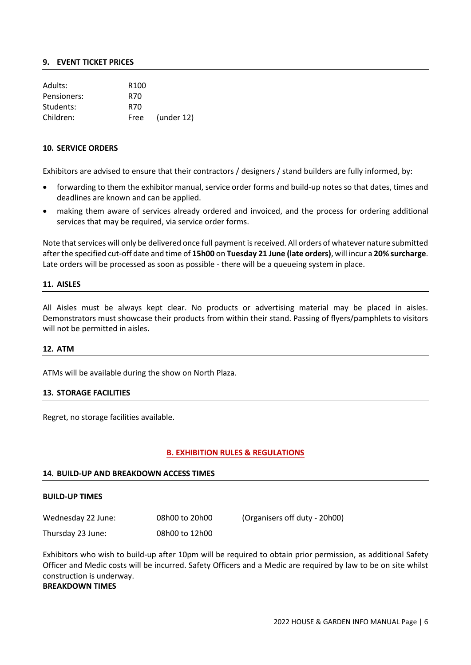#### <span id="page-5-0"></span>**9. EVENT TICKET PRICES**

| Adults:     | R <sub>100</sub> |                  |
|-------------|------------------|------------------|
| Pensioners: | R70              |                  |
| Students:   | R70              |                  |
| Children:   | Free             | $($ under 12 $)$ |

#### <span id="page-5-1"></span>**10. SERVICE ORDERS**

Exhibitors are advised to ensure that their contractors / designers / stand builders are fully informed, by:

- forwarding to them the exhibitor manual, service order forms and build-up notes so that dates, times and deadlines are known and can be applied.
- making them aware of services already ordered and invoiced, and the process for ordering additional services that may be required, via service order forms.

Note that services will only be delivered once full payment is received. All orders of whatever nature submitted after the specified cut-off date and time of **15h00** on **Tuesday 21 June (late orders)**, will incur a **20% surcharge**. Late orders will be processed as soon as possible - there will be a queueing system in place.

#### <span id="page-5-2"></span>**11. AISLES**

All Aisles must be always kept clear. No products or advertising material may be placed in aisles. Demonstrators must showcase their products from within their stand. Passing of flyers/pamphlets to visitors will not be permitted in aisles.

#### <span id="page-5-3"></span>**12. ATM**

<span id="page-5-4"></span>ATMs will be available during the show on North Plaza.

### **13. STORAGE FACILITIES**

Regret, no storage facilities available.

#### **B. EXHIBITION RULES & REGULATIONS**

#### <span id="page-5-5"></span>**14. BUILD-UP AND BREAKDOWN ACCESS TIMES**

#### **BUILD-UP TIMES**

Wednesday 22 June: 08h00 to 20h00 (Organisers off duty - 20h00)

Thursday 23 June: 08h00 to 12h00

Exhibitors who wish to build-up after 10pm will be required to obtain prior permission, as additional Safety Officer and Medic costs will be incurred. Safety Officers and a Medic are required by law to be on site whilst construction is underway.

# **BREAKDOWN TIMES**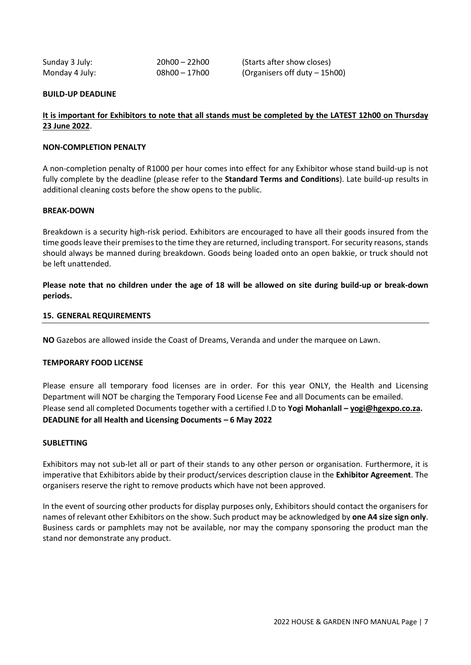| Sunday 3 July: | $20h00 - 22h00$ |  |
|----------------|-----------------|--|
| Monday 4 July: | 08h00 - 17h00   |  |

Starts after show closes) Organisers off duty – 15h00)

## **BUILD-UP DEADLINE**

## **It is important for Exhibitors to note that all stands must be completed by the LATEST 12h00 on Thursday 23 June 2022**.

### **NON-COMPLETION PENALTY**

A non-completion penalty of R1000 per hour comes into effect for any Exhibitor whose stand build-up is not fully complete by the deadline (please refer to the **Standard Terms and Conditions**). Late build-up results in additional cleaning costs before the show opens to the public.

#### **BREAK-DOWN**

Breakdown is a security high-risk period. Exhibitors are encouraged to have all their goods insured from the time goods leave their premises to the time they are returned, including transport. For security reasons, stands should always be manned during breakdown. Goods being loaded onto an open bakkie, or truck should not be left unattended.

**Please note that no children under the age of 18 will be allowed on site during build-up or break-down periods.**

#### <span id="page-6-0"></span>**15. GENERAL REQUIREMENTS**

**NO** Gazebos are allowed inside the Coast of Dreams, Veranda and under the marquee on Lawn.

## **TEMPORARY FOOD LICENSE**

Please ensure all temporary food licenses are in order. For this year ONLY, the Health and Licensing Department will NOT be charging the Temporary Food License Fee and all Documents can be emailed. Please send all completed Documents together with a certified I.D to **Yogi Mohanlall – [yogi@hgexpo.co.za.](mailto:yogi@hgexpo.co.za) DEADLINE for all Health and Licensing Documents – 6 May 2022**

#### **SUBLETTING**

Exhibitors may not sub-let all or part of their stands to any other person or organisation. Furthermore, it is imperative that Exhibitors abide by their product/services description clause in the **Exhibitor Agreement**. The organisers reserve the right to remove products which have not been approved.

In the event of sourcing other products for display purposes only, Exhibitors should contact the organisers for names of relevant other Exhibitors on the show. Such product may be acknowledged by **one A4 size sign only**. Business cards or pamphlets may not be available, nor may the company sponsoring the product man the stand nor demonstrate any product.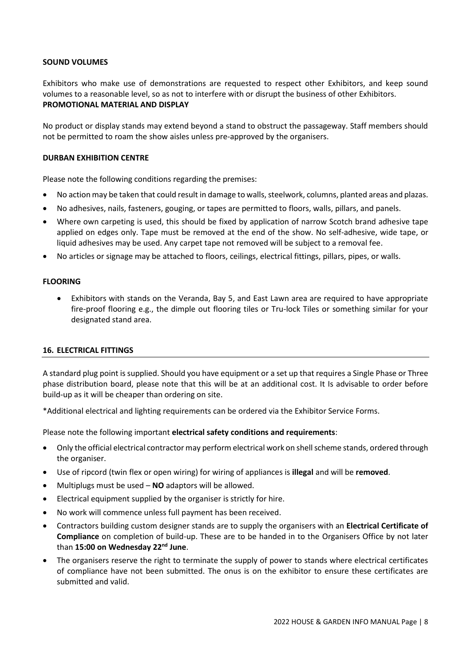### **SOUND VOLUMES**

Exhibitors who make use of demonstrations are requested to respect other Exhibitors, and keep sound volumes to a reasonable level, so as not to interfere with or disrupt the business of other Exhibitors. **PROMOTIONAL MATERIAL AND DISPLAY**

No product or display stands may extend beyond a stand to obstruct the passageway. Staff members should not be permitted to roam the show aisles unless pre-approved by the organisers.

#### **DURBAN EXHIBITION CENTRE**

Please note the following conditions regarding the premises:

- No action may be taken that could result in damage to walls, steelwork, columns, planted areas and plazas.
- No adhesives, nails, fasteners, gouging, or tapes are permitted to floors, walls, pillars, and panels.
- Where own carpeting is used, this should be fixed by application of narrow Scotch brand adhesive tape applied on edges only. Tape must be removed at the end of the show. No self-adhesive, wide tape, or liquid adhesives may be used. Any carpet tape not removed will be subject to a removal fee.
- No articles or signage may be attached to floors, ceilings, electrical fittings, pillars, pipes, or walls.

#### **FLOORING**

• Exhibitors with stands on the Veranda, Bay 5, and East Lawn area are required to have appropriate fire-proof flooring e.g., the dimple out flooring tiles or Tru-lock Tiles or something similar for your designated stand area.

## <span id="page-7-0"></span>**16. ELECTRICAL FITTINGS**

A standard plug point is supplied. Should you have equipment or a set up that requires a Single Phase or Three phase distribution board, please note that this will be at an additional cost. It Is advisable to order before build-up as it will be cheaper than ordering on site.

\*Additional electrical and lighting requirements can be ordered via the Exhibitor Service Forms.

Please note the following important **electrical safety conditions and requirements**:

- Only the official electrical contractor may perform electrical work on shell scheme stands, ordered through the organiser.
- Use of ripcord (twin flex or open wiring) for wiring of appliances is **illegal** and will be **removed**.
- Multiplugs must be used **NO** adaptors will be allowed.
- Electrical equipment supplied by the organiser is strictly for hire.
- No work will commence unless full payment has been received.
- Contractors building custom designer stands are to supply the organisers with an **Electrical Certificate of Compliance** on completion of build-up. These are to be handed in to the Organisers Office by not later than **15:00 on Wednesday 22 nd June**.
- The organisers reserve the right to terminate the supply of power to stands where electrical certificates of compliance have not been submitted. The onus is on the exhibitor to ensure these certificates are submitted and valid.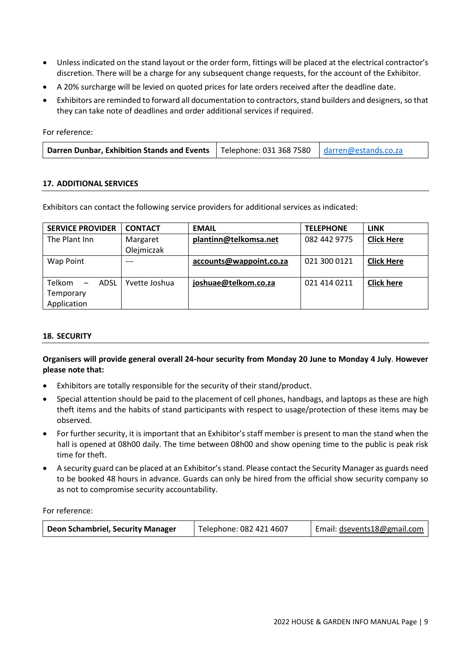- Unless indicated on the stand layout or the order form, fittings will be placed at the electrical contractor's discretion. There will be a charge for any subsequent change requests, for the account of the Exhibitor.
- A 20% surcharge will be levied on quoted prices for late orders received after the deadline date.
- Exhibitors are reminded to forward all documentation to contractors, stand builders and designers,so that they can take note of deadlines and order additional services if required.

For reference:

| <b>Darren Dunbar, Exhibition Stands and Events</b>   Telephone: 031 368 7580   darren@estands.co.za |  |  |
|-----------------------------------------------------------------------------------------------------|--|--|
|-----------------------------------------------------------------------------------------------------|--|--|

## <span id="page-8-0"></span>**17. ADDITIONAL SERVICES**

Exhibitors can contact the following service providers for additional services as indicated:

| <b>SERVICE PROVIDER</b>                    | <b>CONTACT</b> | <b>EMAIL</b>            | <b>TELEPHONE</b> | <b>LINK</b>       |
|--------------------------------------------|----------------|-------------------------|------------------|-------------------|
| The Plant Inn                              | Margaret       | plantinn@telkomsa.net   | 082 442 9775     | <b>Click Here</b> |
|                                            | Olejmiczak     |                         |                  |                   |
| Wap Point                                  | ---            | accounts@wappoint.co.za | 021 300 0121     | <b>Click Here</b> |
|                                            |                |                         |                  |                   |
| <b>Telkom</b><br>ADSL<br>$\qquad \qquad -$ | Yvette Joshua  | joshuae@telkom.co.za    | 021 414 0211     | <b>Click here</b> |
| Temporary                                  |                |                         |                  |                   |
| Application                                |                |                         |                  |                   |

## <span id="page-8-1"></span>**18. SECURITY**

## **Organisers will provide general overall 24-hour security from Monday 20 June to Monday 4 July**. **However please note that:**

- Exhibitors are totally responsible for the security of their stand/product.
- Special attention should be paid to the placement of cell phones, handbags, and laptops as these are high theft items and the habits of stand participants with respect to usage/protection of these items may be observed.
- For further security, it is important that an Exhibitor's staff member is present to man the stand when the hall is opened at 08h00 daily. The time between 08h00 and show opening time to the public is peak risk time for theft.
- A security guard can be placed at an Exhibitor's stand. Please contact the Security Manager as guards need to be booked 48 hours in advance. Guards can only be hired from the official show security company so as not to compromise security accountability.

For reference:

| Deon Schambriel, Security Manager | Telephone: 082 421 4607 | Email: dsevents18@gmail.com |
|-----------------------------------|-------------------------|-----------------------------|
|-----------------------------------|-------------------------|-----------------------------|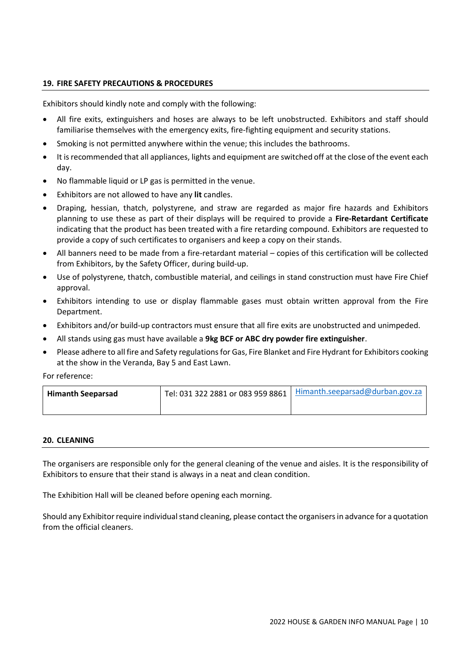## <span id="page-9-0"></span>**19. FIRE SAFETY PRECAUTIONS & PROCEDURES**

Exhibitors should kindly note and comply with the following:

- All fire exits, extinguishers and hoses are always to be left unobstructed. Exhibitors and staff should familiarise themselves with the emergency exits, fire-fighting equipment and security stations.
- Smoking is not permitted anywhere within the venue; this includes the bathrooms.
- It is recommended that all appliances, lights and equipment are switched off at the close of the event each day.
- No flammable liquid or LP gas is permitted in the venue.
- Exhibitors are not allowed to have any **lit** candles.
- Draping, hessian, thatch, polystyrene, and straw are regarded as major fire hazards and Exhibitors planning to use these as part of their displays will be required to provide a **Fire-Retardant Certificate** indicating that the product has been treated with a fire retarding compound. Exhibitors are requested to provide a copy of such certificates to organisers and keep a copy on their stands.
- All banners need to be made from a fire-retardant material copies of this certification will be collected from Exhibitors, by the Safety Officer, during build-up.
- Use of polystyrene, thatch, combustible material, and ceilings in stand construction must have Fire Chief approval.
- Exhibitors intending to use or display flammable gases must obtain written approval from the Fire Department.
- Exhibitors and/or build-up contractors must ensure that all fire exits are unobstructed and unimpeded.
- All stands using gas must have available a **9kg BCF or ABC dry powder fire extinguisher**.
- Please adhere to all fire and Safety regulations for Gas, Fire Blanket and Fire Hydrant for Exhibitors cooking at the show in the Veranda, Bay 5 and East Lawn.

For reference:

| <b>Himanth Seeparsad</b> | Tel: 031 322 2881 or 083 959 8861   Himanth.seeparsad@durban.gov.za |
|--------------------------|---------------------------------------------------------------------|
|                          |                                                                     |

## <span id="page-9-1"></span>**20. CLEANING**

The organisers are responsible only for the general cleaning of the venue and aisles. It is the responsibility of Exhibitors to ensure that their stand is always in a neat and clean condition.

The Exhibition Hall will be cleaned before opening each morning.

Should any Exhibitor require individual stand cleaning, please contact the organisers in advance for a quotation from the official cleaners.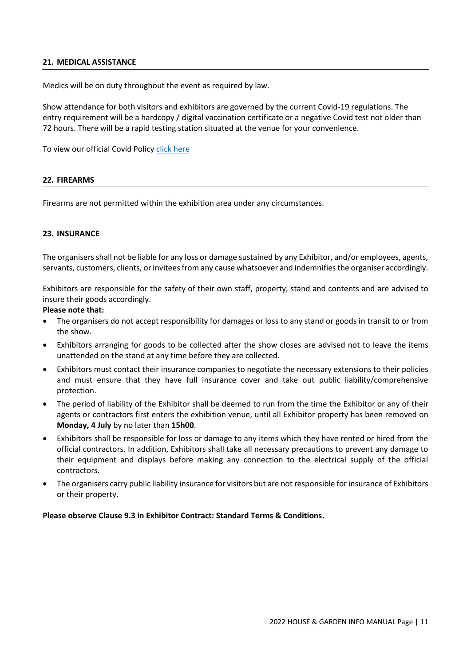## <span id="page-10-0"></span>**21. MEDICAL ASSISTANCE**

Medics will be on duty throughout the event as required by law.

Show attendance for both visitors and exhibitors are governed by the current Covid-19 regulations. The entry requirement will be a hardcopy / digital vaccination certificate or a negative Covid test not older than 72 hours. There will be a rapid testing station situated at the venue for your convenience.

To view our official Covid Polic[y click here](https://housegardenshow.co.za/wp-content/uploads/2022/05/House-Garden-Policy-RF-9-05-2022.pdf)

#### <span id="page-10-1"></span>**22. FIREARMS**

Firearms are not permitted within the exhibition area under any circumstances.

#### <span id="page-10-2"></span>**23. INSURANCE**

The organisers shall not be liable for any loss or damage sustained by any Exhibitor, and/or employees, agents, servants, customers, clients, or invitees from any cause whatsoever and indemnifies the organiser accordingly.

Exhibitors are responsible for the safety of their own staff, property, stand and contents and are advised to insure their goods accordingly.

## **Please note that:**

- The organisers do not accept responsibility for damages or loss to any stand or goods in transit to or from the show.
- Exhibitors arranging for goods to be collected after the show closes are advised not to leave the items unattended on the stand at any time before they are collected.
- Exhibitors must contact their insurance companies to negotiate the necessary extensions to their policies and must ensure that they have full insurance cover and take out public liability/comprehensive protection.
- The period of liability of the Exhibitor shall be deemed to run from the time the Exhibitor or any of their agents or contractors first enters the exhibition venue, until all Exhibitor property has been removed on **Monday, 4 July** by no later than **15h00**.
- Exhibitors shall be responsible for loss or damage to any items which they have rented or hired from the official contractors. In addition, Exhibitors shall take all necessary precautions to prevent any damage to their equipment and displays before making any connection to the electrical supply of the official contractors.
- The organisers carry public liability insurance for visitors but are not responsible for insurance of Exhibitors or their property.

## **Please observe Clause 9.3 in Exhibitor Contract: Standard Terms & Conditions.**